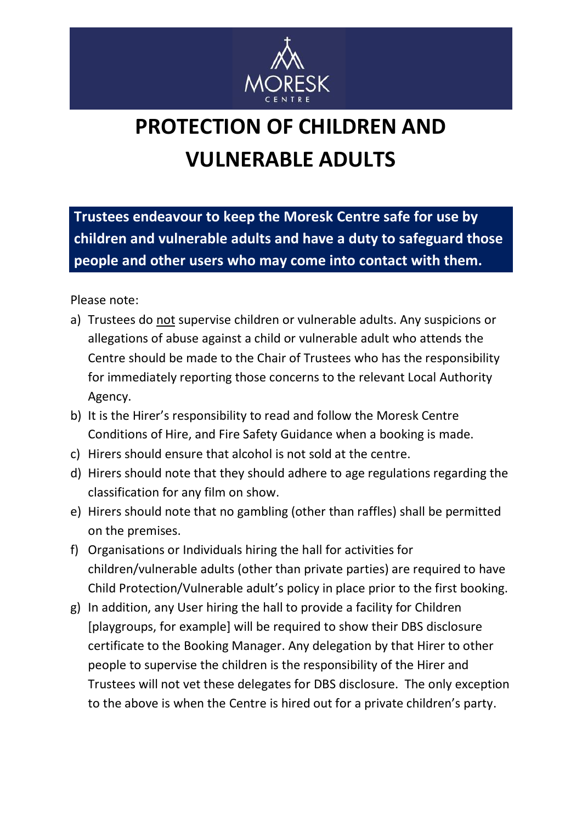

## **PROTECTION OF CHILDREN AND VULNERABLE ADULTS**

**Trustees endeavour to keep the Moresk Centre safe for use by children and vulnerable adults and have a duty to safeguard those people and other users who may come into contact with them.**

Please note:

- a) Trustees do not supervise children or vulnerable adults. Any suspicions or allegations of abuse against a child or vulnerable adult who attends the Centre should be made to the Chair of Trustees who has the responsibility for immediately reporting those concerns to the relevant Local Authority Agency.
- b) It is the Hirer's responsibility to read and follow the Moresk Centre Conditions of Hire, and Fire Safety Guidance when a booking is made.
- c) Hirers should ensure that alcohol is not sold at the centre.
- d) Hirers should note that they should adhere to age regulations regarding the classification for any film on show.
- e) Hirers should note that no gambling (other than raffles) shall be permitted on the premises.
- f) Organisations or Individuals hiring the hall for activities for children/vulnerable adults (other than private parties) are required to have Child Protection/Vulnerable adult's policy in place prior to the first booking.
- g) In addition, any User hiring the hall to provide a facility for Children [playgroups, for example] will be required to show their DBS disclosure certificate to the Booking Manager. Any delegation by that Hirer to other people to supervise the children is the responsibility of the Hirer and Trustees will not vet these delegates for DBS disclosure. The only exception to the above is when the Centre is hired out for a private children's party.